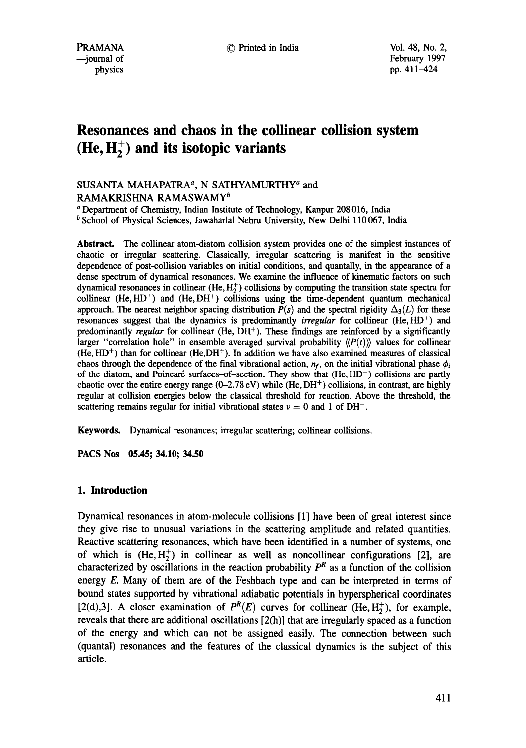# **Resonances and chaos in the collinear collision system**   $(He, H<sub>2</sub><sup>+</sup>)$  and its isotopic variants

# SUSANTA MAHAPATRA<sup>a</sup>, N SATHYAMURTHY<sup>a</sup> and RAMAKRISHNA RAMASWAMY<sup>b</sup>

a Department of Chemistry, Indian Institute of Technology, Kanpur 208 016, India

 $<sup>b</sup>$  School of Physical Sciences, Jawaharlal Nehru University, New Delhi 110067, India</sup>

**Abstract.** The collinear atom-diatom collision system provides one of the simplest instances of chaotic or irregular scattering. Classically, irregular scattering is manifest in the sensitive dependence of post-collision variables on initial conditions, and quantally, in the appearance of a dense spectrum of dynamical resonances. We examine the influence of kinematic factors on such dynamical resonances in collinear  $(He, H<sub>2</sub><sup>+</sup>)$  collisions by computing the transition state spectra for collinear (He,  $HD<sup>+</sup>$ ) and (He,  $DH<sup>+</sup>$ ) collisions using the time-dependent quantum mechanical approach. The nearest neighbor spacing distribution  $P(s)$  and the spectral rigidity  $\Delta_3(L)$  for these resonances suggest that the dynamics is predominantly *irregular* for collinear (He, HD<sup>+</sup>) and predominantly *regular* for collinear (He, DH+). These findings are reinforced by a significantly larger "correlation hole" in ensemble averaged survival probability  $\langle P(t) \rangle$  values for collinear  $(He, HD<sup>+</sup>)$  than for collinear  $(He, DH<sup>+</sup>)$ . In addition we have also examined measures of classical chaos through the dependence of the final vibrational action,  $n_f$ , on the initial vibrational phase  $\phi_i$ of the diatom, and Poincaré surfaces-of-section. They show that  $(He, HD<sup>+</sup>)$  collisions are partly chaotic over the entire energy range (0-2.78 eV) while (He, DH<sup>+</sup>) collisions, in contrast, are highly regular at collision energies below the classical threshold for reaction. Above the threshold, the scattering remains regular for initial vibrational states  $v = 0$  and 1 of DH<sup>+</sup>.

Keywords. Dynamical resonances; irregular scattering; collinear collisions.

**PACS Nos 05.45; 34.10; 34.50** 

## **1. Introduction**

Dynamical resonances in atom-molecule collisions [1] have been of great interest since they give rise to unusual variations in the scattering amplitude and related quantities. Reactive scattering resonances, which have been identified in a number of systems, one of which is  $(He, H_2^+)$  in collinear as well as noncollinear configurations [2], are characterized by oscillations in the reaction probability  $P<sup>R</sup>$  as a function of the collision energy  $E$ . Many of them are of the Feshbach type and can be interpreted in terms of bound states supported by vibrational adiabatic potentials in hyperspherical coordinates [2(d),3]. A closer examination of  $P^{R}(E)$  curves for collinear (He, H<sub>2</sub>), for example, reveals that there are additional oscillations [2(h)] that are irregularly spaced as a function of the energy and which can not be assigned easily. The connection between such (quantal) resonances and the features of the classical dynamics is the subject of this article.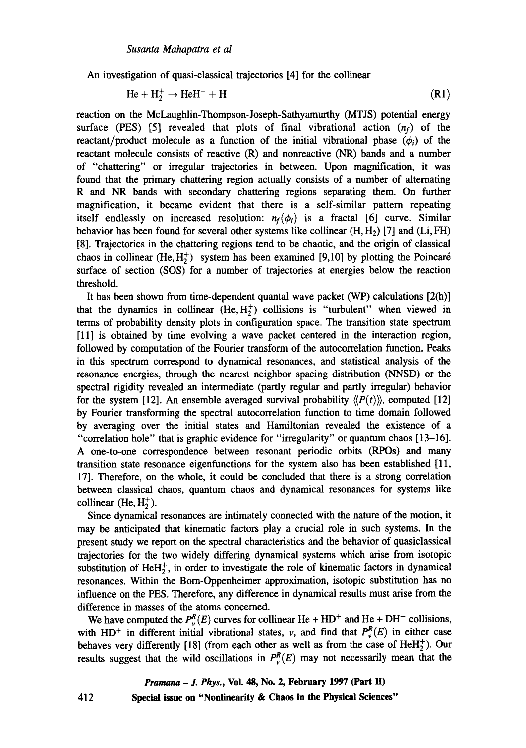An investigation of quasi-classical trajectories [4] for the collinear

$$
\text{He} + \text{H}_2^+ \rightarrow \text{HeH}^+ + \text{H} \tag{R1}
$$

reaction on the McLaughlin-Thompson-Joseph-Sathyamurthy (MTJS) potential energy surface (PES) [5] revealed that plots of final vibrational action  $(n_f)$  of the reactant/product molecule as a function of the initial vibrational phase  $(\phi_i)$  of the reactant molecule consists of reactive (R) and nonreactive (NR) bands and a number of "chattering" or irregular trajectories in between. Upon magnification, it was found that the primary chattering region actually consists of a number of alternating R and NR bands with secondary chattering regions separating them. On further magnification, it became evident that there is a self-similar pattern repeating itself endlessly on increased resolution:  $n_f(\phi_i)$  is a fractal [6] curve. Similar behavior has been found for several other systems like collinear  $(H, H<sub>2</sub>)$  [7] and  $(Li, FH)$ [8]. Trajectories in the chattering regions tend to be chaotic, and the origin of classical chaos in collinear (He,  $H_2^+$ ) system has been examined [9,10] by plotting the Poincaré surface of section (SOS) for a number of trajectories at energies below the reaction threshold.

It has been shown from time-dependent quantal wave packet (WP) calculations  $[2(h)]$ that the dynamics in collinear  $(He, H_2^+)$  collisions is "turbulent" when viewed in terms of probability density plots in configuration space. The transition state spectrum [11] is obtained by time evolving a wave packet centered in the interaction region, followed by computation of the Fourier transform of the autocorrelation function. Peaks in this spectrum correspond to dynamical resonances, and statistical analysis of the resonance energies, through the nearest neighbor spacing distribution (NNSD) or the spectral rigidity revealed an intermediate (partly regular and partly irregular) behavior for the system [12]. An ensemble averaged survival probability  $\langle P(t) \rangle$ , computed [12] by Fourier transforming the spectral autocorrelation function to time domain followed by averaging over the initial states and Hamiltonian revealed the existence of a "correlation hole" that is graphic evidence for "irregularity" or quantum chaos [13-16]. A one-to-one correspondence between resonant periodic orbits (RPOs) and many transition state resonance eigenfunctions for the system also has been established [11, 17]. Therefore, on the whole, it could be concluded that there is a strong correlation between classical chaos, quantum chaos and dynamical resonances for systems like collinear (He,  $H_2^+$ ).

Since dynamical resonances are intimately connected with the nature of the motion, it may be anticipated that kinematic factors play a crucial role in such systems. In the present study we report on the spectral characteristics and the behavior of quasiclassical trajectories for the two widely differing dynamical systems which arise from isotopic substitution of  $HeH<sub>2</sub><sup>+</sup>$ , in order to investigate the role of kinematic factors in dynamical resonances. Within the Born-Oppenheimer approximation, isotopic substitution has no influence on the PES. Therefore, any difference in dynamical results must arise from the difference in masses of the atoms concerned.

We have computed the  $P_r^R(E)$  curves for collinear He + HD<sup>+</sup> and He + DH<sup>+</sup> collisions, with HD<sup>+</sup> in different initial vibrational states, v, and find that  $P_v^R(E)$  in either case behaves very differently [18] (from each other as well as from the case of  $HeH<sub>2</sub><sup>+</sup>$ ). Our results suggest that the wild oscillations in  $P_v^R(E)$  may not necessarily mean that the

> *Pramana - J. Phys.,* **Vol. 48, No. 2, February 1997 (Part H) Special issue on "Nonlinearity & Chaos in the Physical Sciences"**

412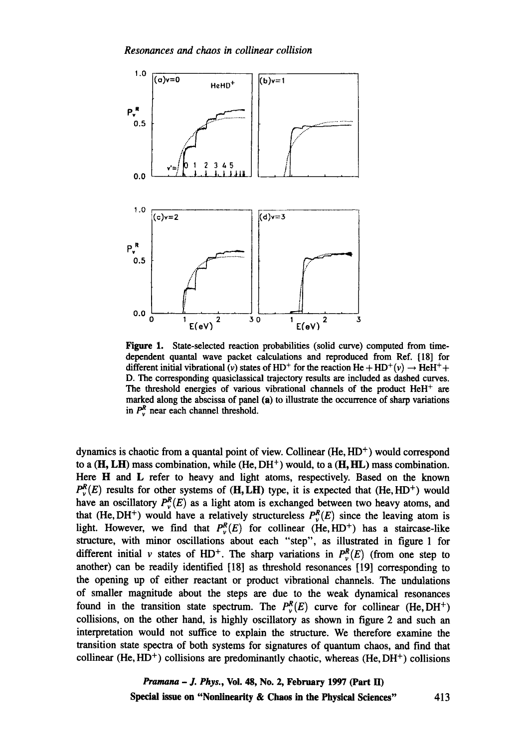

Figure 1. State-selected reaction probabilities (solid curve) computed from timedependent quantal wave packet calculations and reproduced from Ref. [18] for different initial vibrational (v) states of HD<sup>+</sup> for the reaction He + HD<sup>+</sup>(v)  $\rightarrow$  HeH<sup>+</sup>+ D. The corresponding quasiclassical trajectory results are included as dashed curves. The threshold energies of various vibrational channels of the product  $HeH^+$  are marked along the abscissa of panel (a) to illustrate the occurrence of sharp variations in  $P_v^R$  near each channel threshold.

dynamics is chaotic from a quantal point of view. Collinear  $(He, HD<sup>+</sup>)$  would correspond to a  $(H, LH)$  mass combination, while  $(He, DH<sup>+</sup>)$  would, to a  $(H, HL)$  mass combination. Here H and L refer to heavy and light atoms, respectively. Based on the known  $P_r^R(E)$  results for other systems of (H, LH) type, it is expected that (He, HD<sup>+</sup>) would have an oscillatory  $P_v^R(E)$  as a light atom is exchanged between two heavy atoms, and that (He, DH<sup>+</sup>) would have a relatively structureless  $P_v^R(E)$  since the leaving atom is light. However, we find that  $P_r^R(E)$  for collinear (He, HD<sup>+</sup>) has a staircase-like structure, with minor oscillations about each "step", as illustrated in figure 1 for different initial v states of HD<sup>+</sup>. The sharp variations in  $P_r^R(E)$  (from one step to another) can be readily identified [18] as threshold resonances [19] corresponding to the opening up of either reactant or product vibrational channels. The undulations of smaller magnitude about the steps are due to the weak dynamical resonances found in the transition state spectrum. The  $P_v^R(E)$  curve for collinear (He, DH<sup>+</sup>) collisions, on the other hand, is highly oscillatory as shown in figure 2 and such an interpretation would not suffice to explain the structure. We therefore examine the transition state spectra of both systems for signatures of quantum chaos, and find that collinear (He, HD<sup>+</sup>) collisions are predominantly chaotic, whereas (He, DH<sup>+</sup>) collisions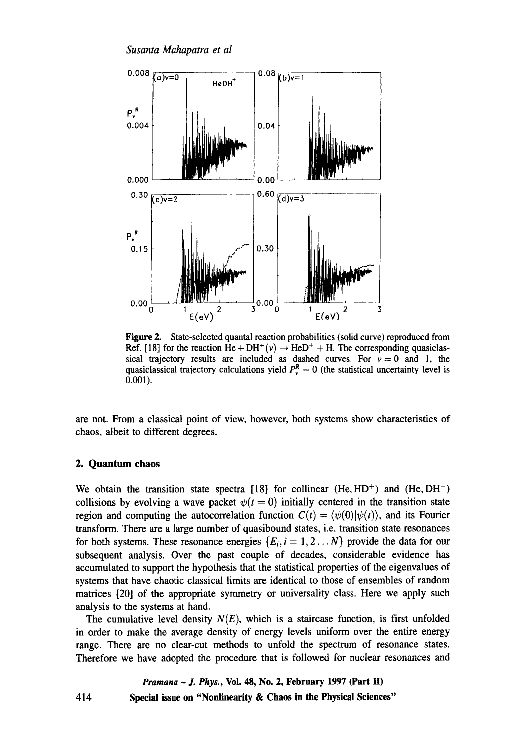*Susanta Mahapatra et al* 



**Figure** 2. State-selected quantal reaction probabilities (solid curve) reproduced from Ref. [18] for the reaction He + DH<sup>+</sup>(v)  $\rightarrow$  HeD<sup>+</sup> + H. The corresponding quasiclassical trajectory results are included as dashed curves. For  $v = 0$  and 1, the quasiclassical trajectory calculations yield  $P_v^R = 0$  (the statistical uncertainty level is 0.001).

are not. From a classical point of view, however, both systems show characteristics of chaos, albeit to different degrees.

#### **2. Quantum chaos**

We obtain the transition state spectra [18] for collinear (He,  $HD^+$ ) and (He,  $DH^+$ ) collisions by evolving a wave packet  $\psi(t = 0)$  initially centered in the transition state region and computing the autocorrelation function  $C(t) = \langle \psi(0) | \psi(t) \rangle$ , and its Fourier transform. There are a large number of quasibound states, i.e. transition state resonances for both systems. These resonance energies  $\{E_i, i = 1, 2, \ldots N\}$  provide the data for our subsequent analysis. Over the past couple of decades, considerable evidence has accumulated to support the hypothesis that the statistical properties of the eigenvalues of systems that have chaotic classical limits are identical to those of ensembles of random matrices [20] of the appropriate symmetry or universality class. Here we apply such analysis to the systems at hand.

The cumulative level density  $N(E)$ , which is a staircase function, is first unfolded in order to make the average density of energy levels uniform over the entire energy range. There are no clear-cut methods to unfold the spectrum of resonance states. Therefore we have adopted the procedure that is followed for nuclear resonances and

*Pramana - J. Phys.,* **Vol. 48, No. 2, February 1997 (Part H) Special issue on "Nonlinearity & Chaos in the Physical Sciences"** 

414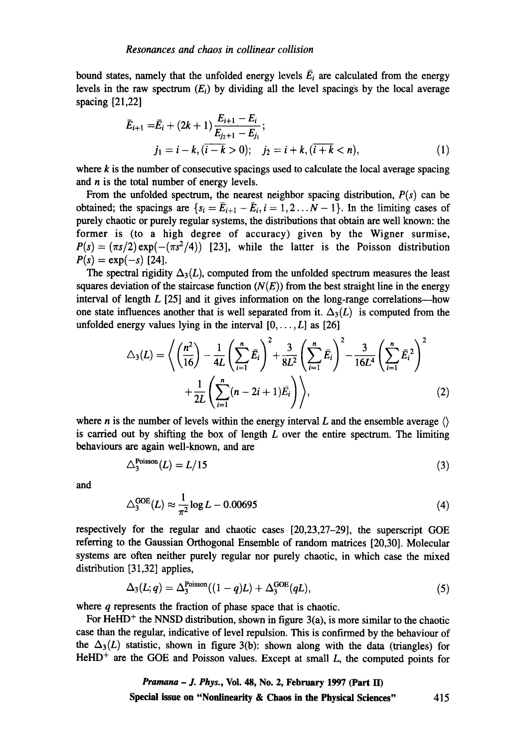bound states, namely that the unfolded energy levels  $\overline{E}_i$  are calculated from the energy levels in the raw spectrum  $(E_i)$  by dividing all the level spacings by the local average spacing [21,22]

$$
\begin{aligned} \bar{E}_{i+1} &= \bar{E}_i + (2k+1) \frac{E_{i+1} - E_i}{E_{j+1} - E_{j_1}}; \\ j_1 &= i - k, (i - k > 0); \quad j_2 = i + k, (i + k < n), \end{aligned} \tag{1}
$$

where  $k$  is the number of consecutive spacings used to calculate the local average spacing and  $n$  is the total number of energy levels.

From the unfolded spectrum, the nearest neighbor spacing distribution,  $P(s)$  can be obtained; the spacings are  $\{s_i = \bar{E}_{i+1} - \bar{E}_i, i=1,2...N-1\}$ . In the limiting cases of purely chaotic or purely regular systems, the distributions that obtain are well known: the former is (to a high degree of accuracy) given by the Wigner surmise,  $P(s) = (\pi s/2) \exp(-(\pi s^2/4))$  [23], while the latter is the Poisson distribution  $P(s) = \exp(-s)$  [24].

The spectral rigidity  $\Delta_3(L)$ , computed from the unfolded spectrum measures the least squares deviation of the staircase function  $(N(E))$  from the best straight line in the energy interval of length  $L$  [25] and it gives information on the long-range correlations---how one state influences another that is well separated from it.  $\Delta_3(L)$  is computed from the unfolded energy values lying in the interval  $[0, \ldots, L]$  as  $[26]$ 

$$
\triangle_3(L) = \left\langle \left(\frac{n^2}{16}\right) - \frac{1}{4L} \left(\sum_{i=1}^n \bar{E}_i\right)^2 + \frac{3}{8L^2} \left(\sum_{i=1}^n \bar{E}_i\right)^2 - \frac{3}{16L^4} \left(\sum_{i=1}^n \bar{E}_i^2\right)^2 + \frac{1}{2L} \left(\sum_{i=1}^n (n-2i+1)\bar{E}_i\right) \right\rangle, \tag{2}
$$

where *n* is the number of levels within the energy interval L and the ensemble average  $\langle \rangle$ is carried out by shifting the box of length  $L$  over the entire spectrum. The limiting behaviours are again well-known, and are

$$
\triangle_3^{\text{Poisson}}(L) = L/15\tag{3}
$$

and

$$
\Delta_3^{\text{GOE}}(L) \approx \frac{1}{\pi^2} \log L - 0.00695\tag{4}
$$

respectively for the regular and chaotic cases [20,23,27-29], the superscript GOE referring to the Gaussian Orthogonal Ensemble of random matrices [20,30]. Molecular systems are often neither purely regular nor purely chaotic, in which case the mixed distribution [31,32] applies,

$$
\Delta_3(L;q) = \Delta_3^{\text{Poisson}}((1-q)L) + \Delta_3^{\text{GOE}}(qL), \qquad (5)
$$

where q represents the fraction of phase space that is chaotic.

For HeHD<sup>+</sup> the NNSD distribution, shown in figure  $3(a)$ , is more similar to the chaotic case than the regular, indicative of level repulsion. This is confirmed by the behaviour of the  $\Delta_3(L)$  statistic, shown in figure 3(b): shown along with the data (triangles) for HeHD<sup>+</sup> are the GOE and Poisson values. Except at small  $L$ , the computed points for

> *Pramana - J. Phys.,* **Vol. 48, No. 2, February 1997 (Part II) Special issue on "Nonlinearity & Chaos in the Physical Sciences" 415**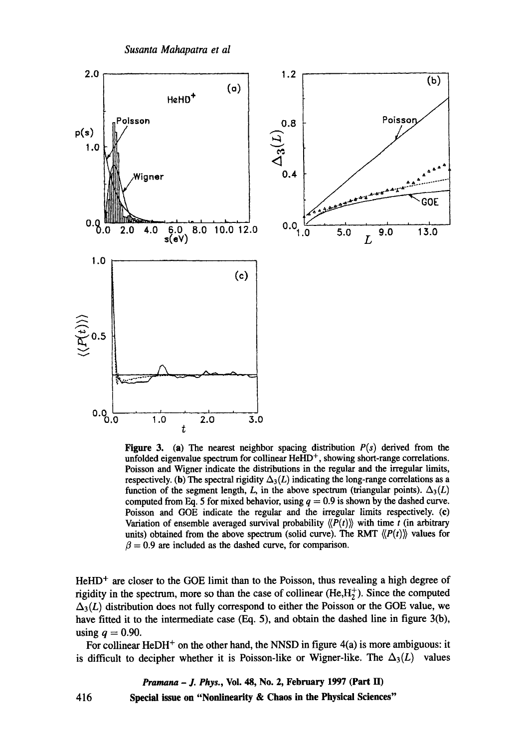

**Figure 3.** (a) The nearest neighbor spacing distribution  $P(s)$  derived from the unfolded eigenvalue spectrum for collinear HeHD<sup>+</sup>, showing short-range correlations. Poisson and Wigner indicate the distributions in the regular and the irregular limits, respectively. (b) The spectral rigidity  $\Delta_3(L)$  indicating the long-range correlations as a function of the segment length, L, in the above spectrum (triangular points).  $\Delta_3(L)$ computed from Eq. 5 for mixed behavior, using  $q = 0.9$  is shown by the dashed curve. Poisson and GOE indicate the regular and the irregular limits respectively. (c) Variation of ensemble averaged survival probability  $\langle P(t) \rangle$  with time t (in arbitrary units) obtained from the above spectrum (solid curve). The RMT  $\langle P(t) \rangle$  values for  $\beta = 0.9$  are included as the dashed curve, for comparison.

**\_\_~-~-~"~-"'~** ......

GOE

Poissor

L

 $HeHD<sup>+</sup>$  are closer to the GOE limit than to the Poisson, thus revealing a high degree of rigidity in the spectrum, more so than the case of collinear (He, $H_2^+$ ). Since the computed  $\Delta_3(L)$  distribution does not fully correspond to either the Poisson or the GOE value, we have fitted it to the intermediate case (Eq. 5), and obtain the dashed line in figure 3(b), using  $q = 0.90$ .

For collinear HeDH<sup>+</sup> on the other hand, the NNSD in figure  $4(a)$  is more ambiguous: it is difficult to decipher whether it is Poisson-like or Wigner-like. The  $\Delta_3(L)$  values

416 *Pramana - J. Phys.,* **Vol. 48, No. 2, February 1997 (Part H) Special issue on "Nonlinearity & Chaos in the Physical Sciences"**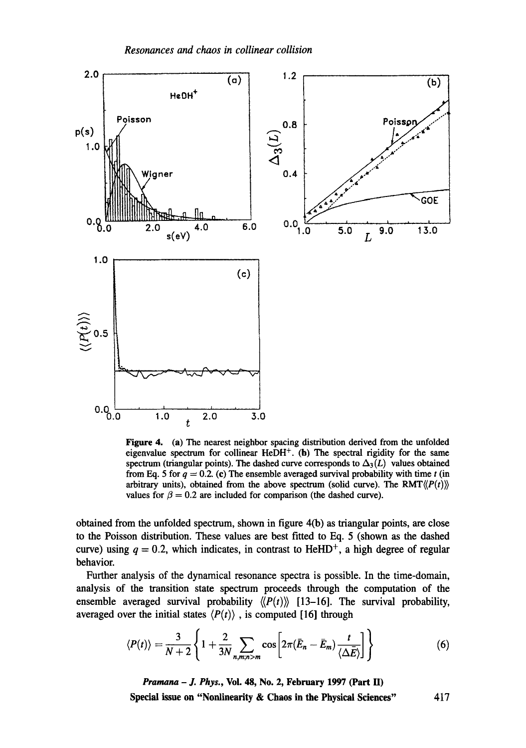

Figure 4. (a) The nearest neighbor spacing distribution derived from the unfolded eigenvalue spectrum for collinear  $HeDH^+$ . (b) The spectral rigidity for the same spectrum (triangular points). The dashed curve corresponds to  $\Delta_3(L)$  values obtained from Eq. 5 for  $q = 0.2$ . (c) The ensemble averaged survival probability with time t (in arbitrary units), obtained from the above spectrum (solid curve). The  $RMT\langle P(t) \rangle$ values for  $\beta = 0.2$  are included for comparison (the dashed curve).

obtained from the unfolded spectrum, shown in figure 4(b) as triangular points, are close to the Poisson distribution. These values are best fitted to Eq. 5 (shown as the dashed curve) using  $q = 0.2$ , which indicates, in contrast to HeHD<sup>+</sup>, a high degree of regular behavior.

Further analysis of the dynamical resonance spectra is possible. In the time-domain, analysis of the transition state spectrum proceeds through the computation of the ensemble averaged survival probability  $\langle P(t) \rangle$  [13-16]. The survival probability, averaged over the initial states  $\langle P(t) \rangle$ , is computed [16] through

$$
\langle P(t) \rangle = \frac{3}{N+2} \left\{ 1 + \frac{2}{3N} \sum_{n,m,n>m} \cos \left[ 2\pi (\bar{E}_n - \bar{E}_m) \frac{t}{\langle \Delta \bar{E} \rangle} \right] \right\} \tag{6}
$$

*Pramana - J. Phys.,* **Vol. 48, No. 2, February 1997 (Part H) Special issue on "Nonlinearity & Chaos in the Physical Sciences"** 417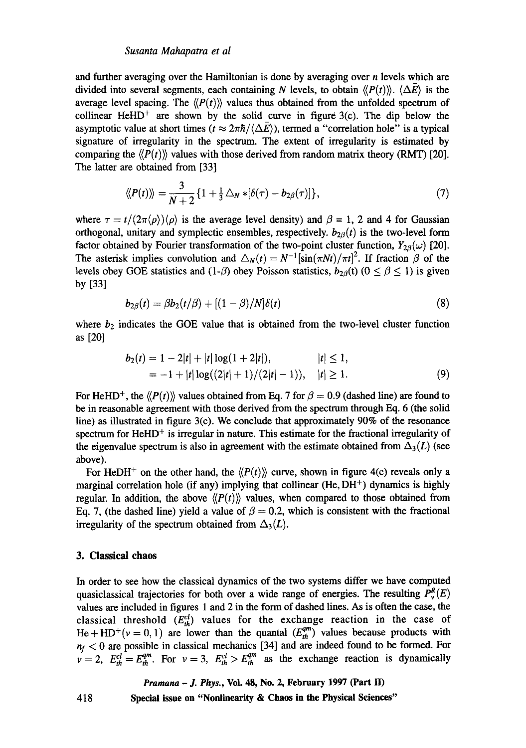#### *Susanta Mahapatra et al*

and further averaging over the Hamiltonian is done by averaging over  $n$  levels which are divided into several segments, each containing N levels, to obtain  $\langle P(t) \rangle$ .  $\langle \Delta E \rangle$  is the average level spacing. The  $\langle P(t) \rangle$  values thus obtained from the unfolded spectrum of collinear HeHD<sup>+</sup> are shown by the solid curve in figure  $3(c)$ . The dip below the asymptotic value at short times ( $t \approx 2\pi\hbar/\langle\Delta \vec{E}\rangle$ ), termed a "correlation hole" is a typical signature of irregularity in the spectrum. The extent of irregularity is estimated by comparing the  $\langle P(t) \rangle$  values with those derived from random matrix theory (RMT) [20]. The latter are obtained from [33]

$$
\langle P(t) \rangle\rangle = \frac{3}{N+2} \left\{ 1 + \frac{1}{3} \bigtriangleup_N * [\delta(\tau) - b_{2\beta}(\tau)] \right\},\tag{7}
$$

where  $\tau = t/(2\pi \langle \rho \rangle) \langle \rho \rangle$  is the average level density) and  $\beta = 1, 2$  and 4 for Gaussian orthogonal, unitary and symplectic ensembles, respectively.  $b_{2\beta}(t)$  is the two-level form factor obtained by Fourier transformation of the two-point cluster function,  $Y_{2\beta}(\omega)$  [20]. The asterisk implies convolution and  $\Delta_N(t) = N^{-1} [\sin(\pi Nt)/\pi t]^2$ . If fraction  $\beta$  of the levels obey GOE statistics and  $(1-\beta)$  obey Poisson statistics,  $b_{2\beta}(t)$   $(0 \le \beta \le 1)$  is given by [33]

$$
b_{2\beta}(t) = \beta b_2(t/\beta) + \left[ (1-\beta)/N \right] \delta(t) \tag{8}
$$

where  $b_2$  indicates the GOE value that is obtained from the two-level cluster function as [20]

$$
b_2(t) = 1 - 2|t| + |t| \log(1 + 2|t|), \qquad |t| \le 1, = -1 + |t| \log((2|t| + 1)/(2|t| - 1)), \quad |t| \ge 1.
$$
 (9)

For HeHD<sup>+</sup>, the  $\langle P(t) \rangle$  values obtained from Eq. 7 for  $\beta = 0.9$  (dashed line) are found to be in reasonable agreement with those derived from the spectrum through Eq. 6 (the solid line) as illustrated in figure 3(c). We conclude that approximately 90% of the resonance spectrum for  $HeHD<sup>+</sup>$  is irregular in nature. This estimate for the fractional irregularity of the eigenvalue spectrum is also in agreement with the estimate obtained from  $\Delta_3(L)$  (see above).

For HeDH<sup>+</sup> on the other hand, the  $\langle P(t) \rangle$  curve, shown in figure 4(c) reveals only a marginal correlation hole (if any) implying that collinear (He,  $DH<sup>+</sup>$ ) dynamics is highly regular. In addition, the above  $\langle P(t) \rangle$  values, when compared to those obtained from Eq. 7, (the dashed line) yield a value of  $\beta = 0.2$ , which is consistent with the fractional irregularity of the spectrum obtained from  $\Delta_3(L)$ .

#### **3. Classical chaos**

In order to see how the classical dynamics of the two systems differ we have computed quasiclassical trajectories for both over a wide range of energies. The resulting  $P_v^R(E)$ values are included in figures 1 and 2 in the form of dashed lines. As is often the case, the classical threshold  $(E_{th}^{cl})$  values for the exchange reaction in the case of He + HD<sup>+</sup>( $v = 0, 1$ ) are lower than the quantal  $(E_{th}^{qm})$  values because products with  $n_f$   $<$  0 are possible in classical mechanics [34] and are indeed found to be formed. For  $v = 2$ ,  $E_{th}^{cl} = E_{th}^{qm}$ . For  $v = 3$ ,  $E_{th}^{cl} > E_{th}^{qm}$  as the exchange reaction is dynamically

*Pramana - J. Phys.,* **Vol. 48, No. 2, February 1997 (Part II)** 

418 **Special issue on "Nonlinearity & Chaos in the Physical Sciences"**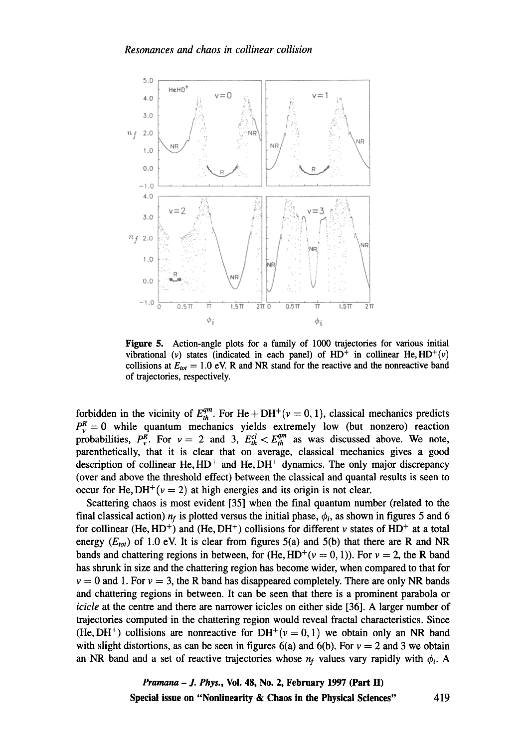

**Figure 5. Action-angle plots for a family of 1000 trajectories for various initial**  vibrational (v) states (indicated in each panel) of  $HD^+$  in collinear He,  $HD^+(\nu)$ collisions at  $E_{tot} = 1.0$  eV. R and NR stand for the reactive and the nonreactive band **of trajectories, respectively.** 

forbidden in the vicinity of  $E_{th}^{qm}$ . For He + DH<sup>+</sup>( $v = 0, 1$ ), classical mechanics predicts  $P_v^R = 0$  while quantum mechanics yields extremely low (but nonzero) reaction probabilities,  $P_v^{\overline{R}}$ . For  $v = 2$  and 3,  $E_{th}^{cl} < E_{th}^{qm}$  as was discussed above. We note, **parenthetically, that it is clear that on average, classical mechanics gives a good**  description of collinear He,  $HD<sup>+</sup>$  and He,  $DH<sup>+</sup>$  dynamics. The only major discrepancy **(over and above the threshold effect) between the classical and quantal results is seen to**  occur for He,  $DH^+(v=2)$  at high energies and its origin is not clear.

**Scattering chaos is most evident [35] when the final quantum number (related to the**  final classical action)  $n_f$  is plotted versus the initial phase,  $\phi_i$ , as shown in figures 5 and 6 for collinear (He,  $HD^+$ ) and (He,  $DH^+$ ) collisions for different v states of  $HD^+$  at a total energy  $(E_{tot})$  of 1.0 eV. It is clear from figures 5(a) and 5(b) that there are R and NR bands and chattering regions in between, for (He, HD<sup>+</sup>( $v = 0, 1$ )). For  $v = 2$ , the R band **has shrunk in size and the chattering region has become wider, when compared to that for**   $v = 0$  and 1. For  $v = 3$ , the R band has disappeared completely. There are only NR bands **and chattering regions in between. It can be seen that there is a prominent parabola or**  *icicle* **at the centre and there are narrower icicles on either side [36]. A larger number of trajectories computed in the chattering region would reveal fractal characteristics. Since**  (He, DH<sup>+</sup>) collisions are nonreactive for DH<sup>+</sup>( $v = 0, 1$ ) we obtain only an NR band with slight distortions, as can be seen in figures  $6(a)$  and  $6(b)$ . For  $v = 2$  and 3 we obtain an NR band and a set of reactive trajectories whose  $n_f$  values vary rapidly with  $\phi_i$ . A

> *Pramana - J. Phys.,* **Vol. 48, No. 2, February 1997 (Part lI)**  Special issue on "Nonlinearity & Chaos in the Physical Sciences"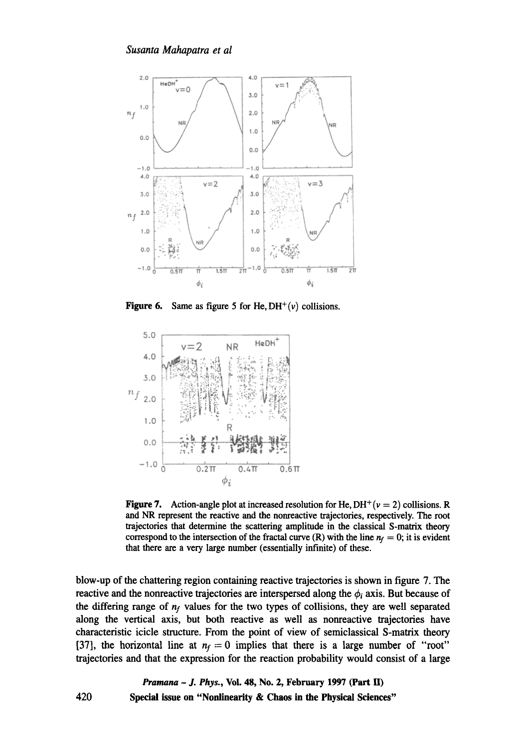

**Figure 6.** Same as figure 5 for He,  $DH^+(v)$  collisions.



**Figure 7.** Action-angle plot at increased resolution for He,  $DH^+(v = 2)$  collisions. R and NR represent the reactive and the nonreactive trajectories, respectively. The root trajectories that determine the scattering amplitude in the classical S-matrix theory correspond to the intersection of the fractal curve (R) with the line  $n_f = 0$ ; it is evident that there are a very large number (essentially infinite) of these.

blow-up of the chattering region containing reactive trajectories is shown in figure 7. The reactive and the nonreactive trajectories are interspersed along the  $\phi_i$  axis. But because of the differing range of  $n_f$  values for the two types of collisions, they are well separated along the vertical axis, but both reactive as well as nonreactive trajectories have characteristic icicle structure. From the point of view of semiclassical S-matrix theory [37], the horizontal line at  $n_f = 0$  implies that there is a large number of "root" trajectories and that the expression for the reaction probability would consist of a large

420 *Pramana- J. Phys.,* **Vol. 48, No. 2, February 1997 (Part H) Special issue on "Nonlinearity & Chaos in the Physical Sciences"**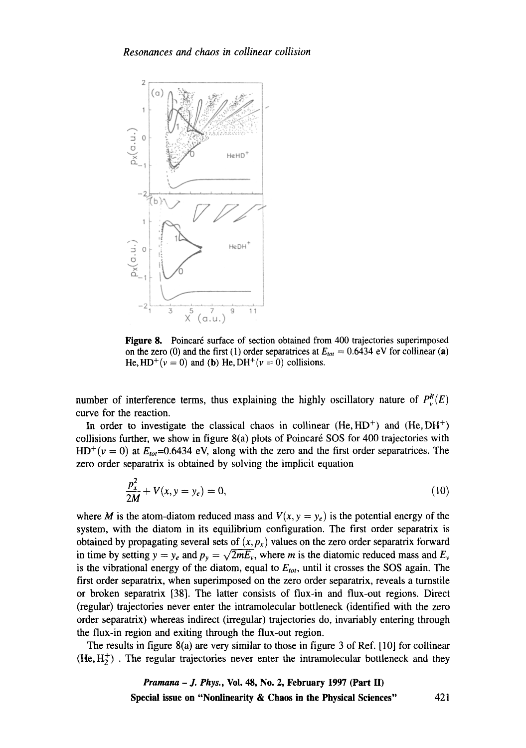

Figure 8. Poincaré surface of section obtained from 400 trajectories superimposed on the zero (0) and the first (1) order separatrices at  $E_{tot} = 0.6434$  eV for collinear (a) He,  $HD^{+}(v = 0)$  and (b) He,  $DH^{+}(v = 0)$  collisions.

number of interference terms, thus explaining the highly oscillatory nature of  $P_v^R(E)$ curve for the reaction.

In order to investigate the classical chaos in collinear  $(He, HD^+)$  and  $(He, DH^+)$ collisions further, we show in figure  $8(a)$  plots of Poincaré SOS for 400 trajectories with  $HD^+(v=0)$  at  $E_{tot}=0.6434$  eV, along with the zero and the first order separatrices. The zero order separatrix is obtained by solving the implicit equation

$$
\frac{p_x^2}{2M} + V(x, y = y_e) = 0,\t(10)
$$

where *M* is the atom-diatom reduced mass and  $V(x, y = y_e)$  is the potential energy of the system, with the diatom in its equilibrium configuration. The first order separatrix is obtained by propagating several sets of  $(x, p_x)$  values on the zero order separatrix forward in time by setting  $y = y_e$  and  $p_y = \sqrt{2mE_v}$ , where m is the diatomic reduced mass and  $E_v$ is the vibrational energy of the diatom, equal to  $E_{tot}$ , until it crosses the SOS again. The first order separatrix, when superimposed on the zero order separatrix, reveals a turnstile or broken separatrix [38]. The latter consists of flux-in and flux-out regions. Direct (regular) trajectories never enter the intramolecular bottleneck (identified with the zero order separatrix) whereas indirect (irregular) trajectories do, invariably entering through the flux-in region and exiting through the flux-out region.

The results in figure 8(a) are very similar to those in figure 3 of Ref. [10] for collinear  $(He, H<sub>2</sub><sup>+</sup>)$ . The regular trajectories never enter the intramolecular bottleneck and they

> *Pramana - J. Phys.,* **Vol. 48, No. 2, February 1997 (Part II) Special issue on "Nonlinearity & Chaos in the Physical Sciences"** 421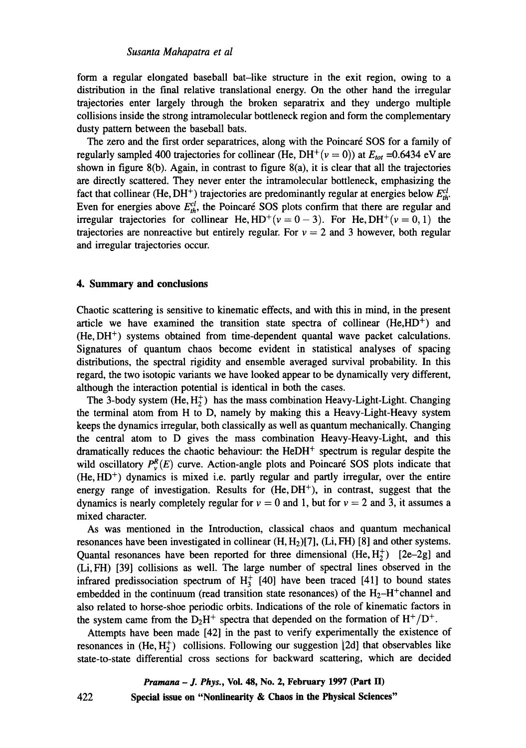form a regular elongated baseball bat-like structure in the exit region, owing to a distribution in the final relative translational energy. On the other hand the irregular trajectories enter largely through the broken separatrix and they undergo multiple collisions inside the strong intramolecular bottleneck region and form the complementary dusty pattern between the baseball bats.

The zero and the first order separatrices, along with the Poincaré SOS for a family of regularly sampled 400 trajectories for collinear (He, DH<sup>+</sup>( $v = 0$ )) at  $E_{tot} = 0.6434$  eV are shown in figure  $8(b)$ . Again, in contrast to figure  $8(a)$ , it is clear that all the trajectories are directly scattered. They never enter the intramolecular bottleneck, emphasizing the fact that collinear (He, DH<sup>+</sup>) trajectories are predominantly regular at energies below  $E_{th}^{cl}$ . Even for energies above  $E_{th}^{cl}$ , the Poincaré SOS plots confirm that there are regular and irregular trajectories for collinear He,  $HD^+(v=0-3)$ . For He,  $DH^+(v=0,1)$  the trajectories are nonreactive but entirely regular. For  $v = 2$  and 3 however, both regular and irregular trajectories occur.

#### **4. Summary and conclusions**

Chaotic scattering is sensitive to kinematic effects, and with this in mind, in the present article we have examined the transition state spectra of collinear  $(He, HD<sup>+</sup>)$  and  $(He, DH<sup>+</sup>)$  systems obtained from time-dependent quantal wave packet calculations. Signatures of quantum chaos become evident in statistical analyses of spacing distributions, the spectral rigidity and ensemble averaged survival probability. In this regard, the two isotopic variants we have looked appear to be dynamically very different, although the interaction potential is identical in both the cases.

The 3-body system  $(He, H_2^+)$  has the mass combination Heavy-Light-Light. Changing the terminal atom from H to D, namely by making this a Heavy-Light-Heavy system keeps the dynamics irregular, both classically as well as quantum mechanically. Changing the central atom to D gives the mass combination Heavy-Heavy-Light, and this dramatically reduces the chaotic behaviour: the  $HeDH<sup>+</sup>$  spectrum is regular despite the wild oscillatory  $P_v^R(E)$  curve. Action-angle plots and Poincaré SOS plots indicate that  $(He, HD<sup>+</sup>)$  dynamics is mixed i.e. partly regular and partly irregular, over the entire energy range of investigation. Results for  $(He, DH<sup>+</sup>)$ , in contrast, suggest that the dynamics is nearly completely regular for  $v = 0$  and 1, but for  $v = 2$  and 3, it assumes a mixed character.

As was mentioned in the Introduction, classical chaos and quantum mechanical resonances have been investigated in collinear  $(H, H<sub>2</sub>)[7]$ , (Li, FH) [8] and other systems. Quantal resonances have been reported for three dimensional (He,  $H_2^+$ ) [2e-2g] and (Li, FH) [39] collisions as well. The large number of spectral lines observed in the infrared predissociation spectrum of  $H_3^+$  [40] have been traced [41] to bound states embedded in the continuum (read transition state resonances) of the  $H_2-H^+$ channel and also related to horse-shoe periodic orbits. Indications of the role of kinematic factors in the system came from the  $D_2H^+$  spectra that depended on the formation of  $H^+/D^+$ .

Attempts have been made [42] in the past to verify experimentally the existence of resonances in  $(He, H_2^+)$  collisions. Following our suggestion [2d] that observables like state-to-state differential cross sections for backward scattering, which are decided

> *Pramana - J. Phys.,* **Voi. 48, No. 2, February 1997 (Part II) Special issue on "Nonlinearity & Chaos in the Physical Sciences"**

422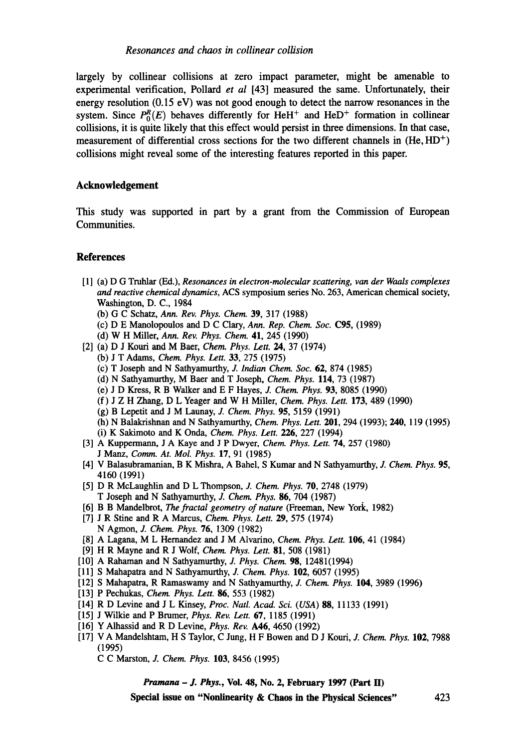largely by collinear collisions at zero impact parameter, might be amenable to experimental verification, Pollard *et al* [43] measured the same. Unfortunately, their energy resolution (0.15 eV) was not good enough to detect the narrow resonances in the system. Since  $P_0^R(E)$  behaves differently for HeH<sup>+</sup> and HeD<sup>+</sup> formation in collinear collisions, it is quite likely that this effect would persist in three dimensions. In that case, measurement of differential cross sections for the two different channels in  $(He, HD<sup>+</sup>)$ collisions might reveal some of the interesting features reported in this paper.

## **Acknowledgement**

This study was supported in part by a grant from the Commission of European Communities.

## **References**

- [1] (a) D G Truhlar (Ed.), *Resonances in electron-molecular scattering, van der Waals complexes and reactive chemical dynamics,* ACS symposium series No. 263, American chemical society, Washington, D. C., 1984
	- (b) G C Schatz, *Ann. Rev. Phys. Chem.* 39, 317 (1988)
	- (c) D E Manolopoulos and D C Clary, *Ann. Rep. Chem. Soc.* C95, (1989)
	- (d) W H Miller, *Ann. Rev. Phys. Chem.* 41, 245 (1990)
- [2] (a) D J Kouri and M Baer, *Chem. Phys. Lett. 24,* 37 (1974)
	- (b) J T Adams, *Chem. Phys. Lett.* 33, 275 (1975)
	- (c) T Joseph and N Sathyamurthy, *J. Indian Chem. Soc.* 62, 874 (1985)
	- (d) N Sathyamurthy, M Baer and T Joseph, *Chem. Phys.* 114, 73 (1987)
	- (e) J D Kress, R B Walker and E F Hayes, J. *Chem. Phys.* 93, 8085 (1990)
	- (f) J Z H Zhang, D L Yeager and W H Miller, *Chem. Phys. Lett.* 173, 489 (1990)
	- (g) B Lepetit and J M Lannay, *J. Chem. Phys.* 95, 5159 (1991)
	- (h) N Balakrishnan and N Sathyamurthy, *Chem. Phys. Lett.* 201, 294 (1993); 240, 119 (1995)
	- (i) K Sakimoto and K Onda, *Chem. Phys.* Lett. 226, 227 (1994)
- [3] A Kuppermann, J A Kaye and J P Dwyer, *Chem. Phys. Lett.* 74, 257 (1980) J Manz, *Comm. At. Mol. Phys.* 17, 91 (1985)
- [4] V Balasubramanian, B K Mishra, A Bahel, S Kumar and N Sathyamurthy, J. *Chem. Phys.* 95, 4160 (1991)
- [5] D R McLaughlin and D L Thompson, *J. Chem. Phys.* 70, 2748 (1979) T Joseph and N Sathyamurthy, *J. Chem. Phys.* 86, 704 (1987)
- [6] B B Mandelbrot, The *fractal geometry of nature* (Freeman, New York, 1982)
- [7] J R Stine and R A Marcus, *Chem. Phys. Lett.* 29, 575 (1974) N Agmon, J. *Chem. Phys.* 76, 1309 (1982)
- [8] A Lagana, M L Hemandez and J M Alvarino, *Chem. Phys. Lett.* 106, 41 (1984)
- [9] H R Mayne and R J Wolf, *Chem. Phys. Lett.* 81, 508 (1981)
- [10] A Rahaman and N Sathyamurthy, *J. Phys. Chem.* **98.** 12481(1994)
- [11] S Mahapatra and N Sathyamurthy, J. *Chem. Phys.* 102, 6057 (1995)
- [12] S Mahapatra, R Ramaswamy and N Sathyamurthy, J. *Chem. Phys.* 104, 3989 (1996)
- [13] P Pechukas, *Chem. Phys. Lett.* 86, 553 (1982)
- [14] R D Levine and J L Kinsey, *Proc. Natl. Acad. Sci. (USA) 88,* 11133 (1991)
- [15] J Wilkie and P Brumer, *Phys. Rev. Lett.* 67, 1185 (1991)
- [16] Y Alhassid and R D Levine, *Phys. Rev.* A46, 4650 (1992)
- [17] VA Mandelshtam, H S Taylor, C Jung, H F Bowen and D J Kouri, J. *Chem. Phys.* 102, 7988 (1995)
	- C C Marston, *J. Chem. Phys.* 103, 8456 (1995)

*Pramana - J. Phys.,* **Vol. 48, No. 2, February 1997 (Part lI)** 

**Special issue on "Nonlinearity & Chaos in the Physical Sciences"** 423